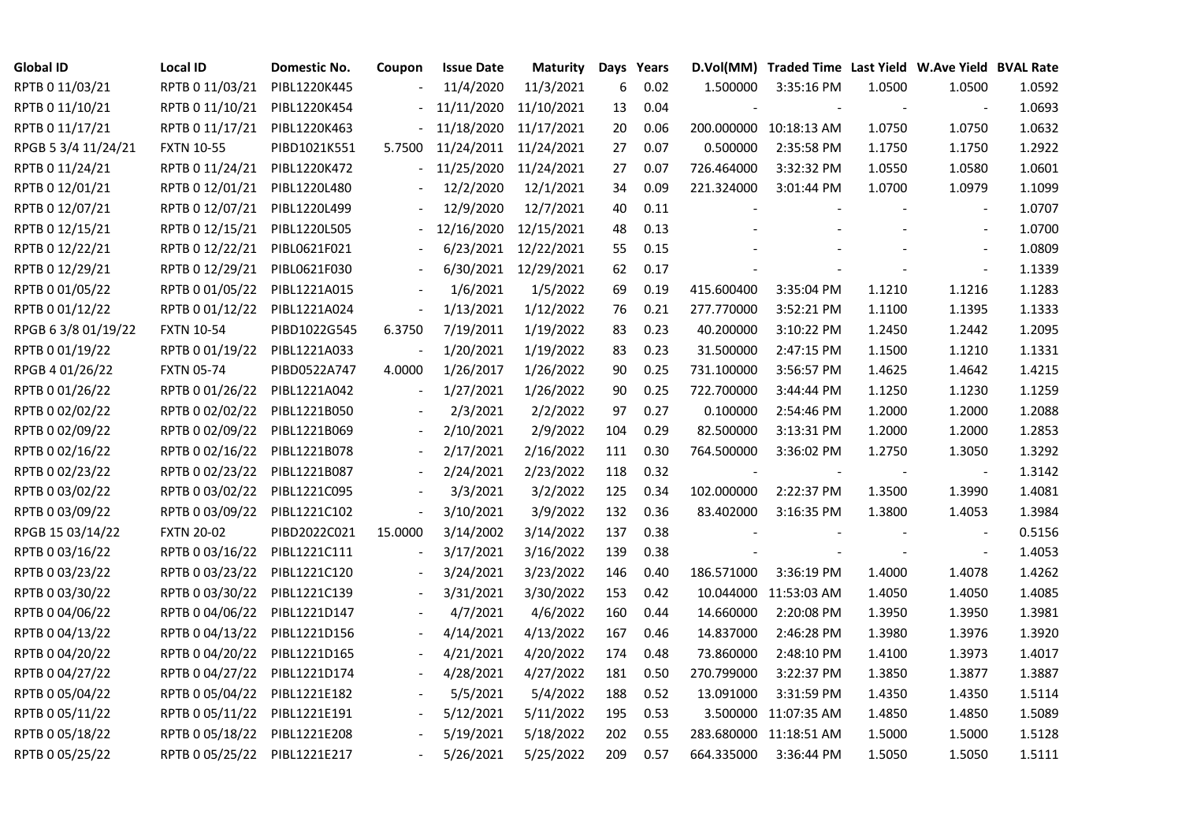| <b>Global ID</b>    | Local ID          | Domestic No. | Coupon                   | <b>Issue Date</b> | Maturity   |     | Days Years |            | D.Vol(MM) Traded Time Last Yield W.Ave Yield BVAL Rate |        |                          |        |
|---------------------|-------------------|--------------|--------------------------|-------------------|------------|-----|------------|------------|--------------------------------------------------------|--------|--------------------------|--------|
| RPTB 0 11/03/21     | RPTB 0 11/03/21   | PIBL1220K445 |                          | 11/4/2020         | 11/3/2021  | 6   | 0.02       | 1.500000   | 3:35:16 PM                                             | 1.0500 | 1.0500                   | 1.0592 |
| RPTB 0 11/10/21     | RPTB 0 11/10/21   | PIBL1220K454 |                          | 11/11/2020        | 11/10/2021 | 13  | 0.04       |            |                                                        |        |                          | 1.0693 |
| RPTB 0 11/17/21     | RPTB 0 11/17/21   | PIBL1220K463 |                          | 11/18/2020        | 11/17/2021 | 20  | 0.06       |            | 200.000000 10:18:13 AM                                 | 1.0750 | 1.0750                   | 1.0632 |
| RPGB 5 3/4 11/24/21 | <b>FXTN 10-55</b> | PIBD1021K551 | 5.7500                   | 11/24/2011        | 11/24/2021 | 27  | 0.07       | 0.500000   | 2:35:58 PM                                             | 1.1750 | 1.1750                   | 1.2922 |
| RPTB 0 11/24/21     | RPTB 0 11/24/21   | PIBL1220K472 | $\blacksquare$           | 11/25/2020        | 11/24/2021 | 27  | 0.07       | 726.464000 | 3:32:32 PM                                             | 1.0550 | 1.0580                   | 1.0601 |
| RPTB 0 12/01/21     | RPTB 0 12/01/21   | PIBL1220L480 |                          | 12/2/2020         | 12/1/2021  | 34  | 0.09       | 221.324000 | 3:01:44 PM                                             | 1.0700 | 1.0979                   | 1.1099 |
| RPTB 0 12/07/21     | RPTB 0 12/07/21   | PIBL1220L499 |                          | 12/9/2020         | 12/7/2021  | 40  | 0.11       |            |                                                        |        | $\overline{\phantom{a}}$ | 1.0707 |
| RPTB 0 12/15/21     | RPTB 0 12/15/21   | PIBL1220L505 |                          | 12/16/2020        | 12/15/2021 | 48  | 0.13       |            |                                                        |        | $\overline{\phantom{a}}$ | 1.0700 |
| RPTB 0 12/22/21     | RPTB 0 12/22/21   | PIBL0621F021 |                          | 6/23/2021         | 12/22/2021 | 55  | 0.15       |            |                                                        |        |                          | 1.0809 |
| RPTB 0 12/29/21     | RPTB 0 12/29/21   | PIBL0621F030 |                          | 6/30/2021         | 12/29/2021 | 62  | 0.17       |            |                                                        |        | $\blacksquare$           | 1.1339 |
| RPTB 0 01/05/22     | RPTB 0 01/05/22   | PIBL1221A015 |                          | 1/6/2021          | 1/5/2022   | 69  | 0.19       | 415.600400 | 3:35:04 PM                                             | 1.1210 | 1.1216                   | 1.1283 |
| RPTB 0 01/12/22     | RPTB 0 01/12/22   | PIBL1221A024 | $\overline{\phantom{a}}$ | 1/13/2021         | 1/12/2022  | 76  | 0.21       | 277.770000 | 3:52:21 PM                                             | 1.1100 | 1.1395                   | 1.1333 |
| RPGB 63/8 01/19/22  | <b>FXTN 10-54</b> | PIBD1022G545 | 6.3750                   | 7/19/2011         | 1/19/2022  | 83  | 0.23       | 40.200000  | 3:10:22 PM                                             | 1.2450 | 1.2442                   | 1.2095 |
| RPTB 0 01/19/22     | RPTB 0 01/19/22   | PIBL1221A033 | $\overline{\phantom{a}}$ | 1/20/2021         | 1/19/2022  | 83  | 0.23       | 31.500000  | 2:47:15 PM                                             | 1.1500 | 1.1210                   | 1.1331 |
| RPGB 4 01/26/22     | <b>FXTN 05-74</b> | PIBD0522A747 | 4.0000                   | 1/26/2017         | 1/26/2022  | 90  | 0.25       | 731.100000 | 3:56:57 PM                                             | 1.4625 | 1.4642                   | 1.4215 |
| RPTB 0 01/26/22     | RPTB 0 01/26/22   | PIBL1221A042 |                          | 1/27/2021         | 1/26/2022  | 90  | 0.25       | 722.700000 | 3:44:44 PM                                             | 1.1250 | 1.1230                   | 1.1259 |
| RPTB 0 02/02/22     | RPTB 0 02/02/22   | PIBL1221B050 |                          | 2/3/2021          | 2/2/2022   | 97  | 0.27       | 0.100000   | 2:54:46 PM                                             | 1.2000 | 1.2000                   | 1.2088 |
| RPTB 0 02/09/22     | RPTB 0 02/09/22   | PIBL1221B069 | $\overline{\phantom{a}}$ | 2/10/2021         | 2/9/2022   | 104 | 0.29       | 82.500000  | 3:13:31 PM                                             | 1.2000 | 1.2000                   | 1.2853 |
| RPTB 0 02/16/22     | RPTB 0 02/16/22   | PIBL1221B078 |                          | 2/17/2021         | 2/16/2022  | 111 | 0.30       | 764.500000 | 3:36:02 PM                                             | 1.2750 | 1.3050                   | 1.3292 |
| RPTB 0 02/23/22     | RPTB 0 02/23/22   | PIBL1221B087 |                          | 2/24/2021         | 2/23/2022  | 118 | 0.32       |            |                                                        |        |                          | 1.3142 |
| RPTB 0 03/02/22     | RPTB 0 03/02/22   | PIBL1221C095 |                          | 3/3/2021          | 3/2/2022   | 125 | 0.34       | 102.000000 | 2:22:37 PM                                             | 1.3500 | 1.3990                   | 1.4081 |
| RPTB 0 03/09/22     | RPTB 0 03/09/22   | PIBL1221C102 | $\overline{\phantom{a}}$ | 3/10/2021         | 3/9/2022   | 132 | 0.36       | 83.402000  | 3:16:35 PM                                             | 1.3800 | 1.4053                   | 1.3984 |
| RPGB 15 03/14/22    | <b>FXTN 20-02</b> | PIBD2022C021 | 15.0000                  | 3/14/2002         | 3/14/2022  | 137 | 0.38       |            |                                                        |        |                          | 0.5156 |
| RPTB 0 03/16/22     | RPTB 0 03/16/22   | PIBL1221C111 |                          | 3/17/2021         | 3/16/2022  | 139 | 0.38       |            |                                                        |        | $\overline{\phantom{a}}$ | 1.4053 |
| RPTB 0 03/23/22     | RPTB 0 03/23/22   | PIBL1221C120 |                          | 3/24/2021         | 3/23/2022  | 146 | 0.40       | 186.571000 | 3:36:19 PM                                             | 1.4000 | 1.4078                   | 1.4262 |
| RPTB 0 03/30/22     | RPTB 0 03/30/22   | PIBL1221C139 |                          | 3/31/2021         | 3/30/2022  | 153 | 0.42       |            | 10.044000 11:53:03 AM                                  | 1.4050 | 1.4050                   | 1.4085 |
| RPTB 0 04/06/22     | RPTB 0 04/06/22   | PIBL1221D147 |                          | 4/7/2021          | 4/6/2022   | 160 | 0.44       | 14.660000  | 2:20:08 PM                                             | 1.3950 | 1.3950                   | 1.3981 |
| RPTB 0 04/13/22     | RPTB 0 04/13/22   | PIBL1221D156 |                          | 4/14/2021         | 4/13/2022  | 167 | 0.46       | 14.837000  | 2:46:28 PM                                             | 1.3980 | 1.3976                   | 1.3920 |
| RPTB 0 04/20/22     | RPTB 0 04/20/22   | PIBL1221D165 |                          | 4/21/2021         | 4/20/2022  | 174 | 0.48       | 73.860000  | 2:48:10 PM                                             | 1.4100 | 1.3973                   | 1.4017 |
| RPTB 0 04/27/22     | RPTB 0 04/27/22   | PIBL1221D174 |                          | 4/28/2021         | 4/27/2022  | 181 | 0.50       | 270.799000 | 3:22:37 PM                                             | 1.3850 | 1.3877                   | 1.3887 |
| RPTB 0 05/04/22     | RPTB 0 05/04/22   | PIBL1221E182 |                          | 5/5/2021          | 5/4/2022   | 188 | 0.52       | 13.091000  | 3:31:59 PM                                             | 1.4350 | 1.4350                   | 1.5114 |
| RPTB 0 05/11/22     | RPTB 0 05/11/22   | PIBL1221E191 |                          | 5/12/2021         | 5/11/2022  | 195 | 0.53       |            | 3.500000 11:07:35 AM                                   | 1.4850 | 1.4850                   | 1.5089 |
| RPTB 0 05/18/22     | RPTB 0 05/18/22   | PIBL1221E208 |                          | 5/19/2021         | 5/18/2022  | 202 | 0.55       |            | 283.680000 11:18:51 AM                                 | 1.5000 | 1.5000                   | 1.5128 |
| RPTB 0 05/25/22     | RPTB 0 05/25/22   | PIBL1221E217 |                          | 5/26/2021         | 5/25/2022  | 209 | 0.57       | 664.335000 | 3:36:44 PM                                             | 1.5050 | 1.5050                   | 1.5111 |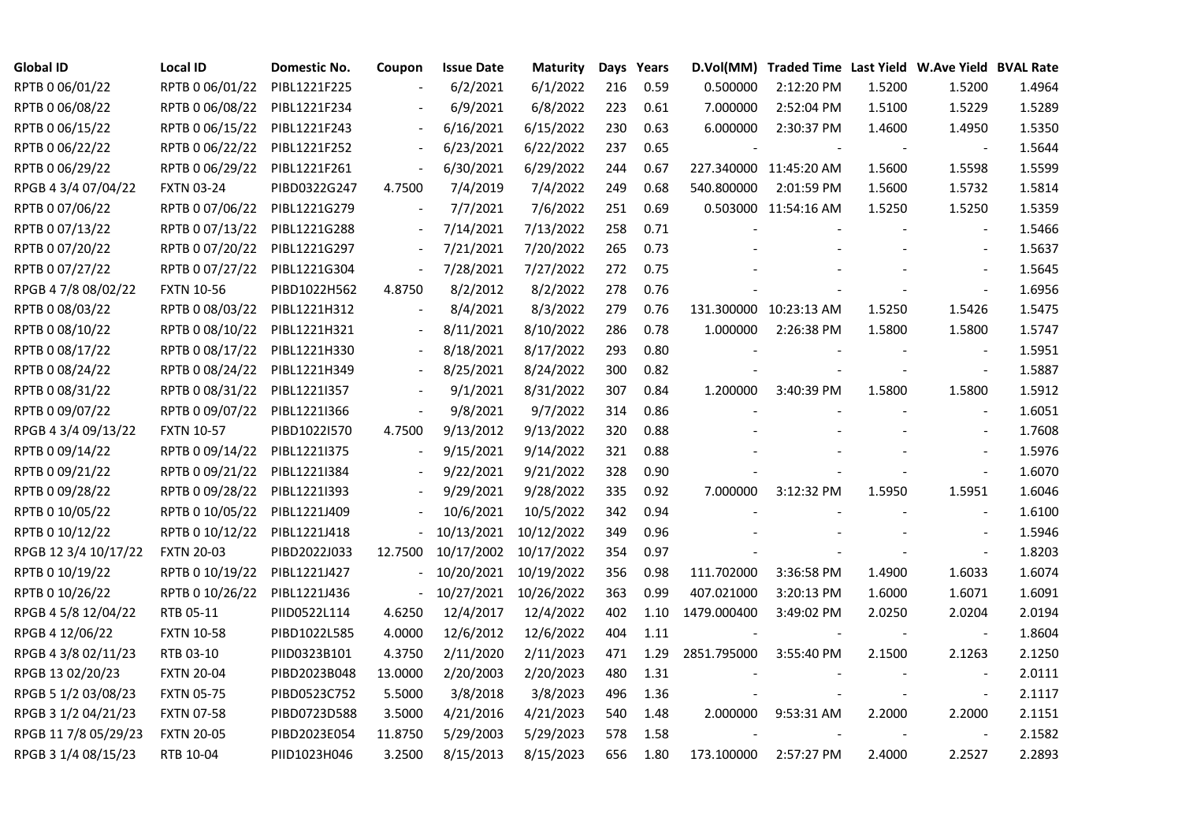| <b>Global ID</b>     | <b>Local ID</b>   | Domestic No. | Coupon                   | <b>Issue Date</b> | <b>Maturity</b> |     | Days Years |                          | D.Vol(MM) Traded Time Last Yield W.Ave Yield BVAL Rate |        |                          |        |
|----------------------|-------------------|--------------|--------------------------|-------------------|-----------------|-----|------------|--------------------------|--------------------------------------------------------|--------|--------------------------|--------|
| RPTB 0 06/01/22      | RPTB 0 06/01/22   | PIBL1221F225 |                          | 6/2/2021          | 6/1/2022        | 216 | 0.59       | 0.500000                 | 2:12:20 PM                                             | 1.5200 | 1.5200                   | 1.4964 |
| RPTB 0 06/08/22      | RPTB 0 06/08/22   | PIBL1221F234 |                          | 6/9/2021          | 6/8/2022        | 223 | 0.61       | 7.000000                 | 2:52:04 PM                                             | 1.5100 | 1.5229                   | 1.5289 |
| RPTB 0 06/15/22      | RPTB 0 06/15/22   | PIBL1221F243 | $\overline{\phantom{a}}$ | 6/16/2021         | 6/15/2022       | 230 | 0.63       | 6.000000                 | 2:30:37 PM                                             | 1.4600 | 1.4950                   | 1.5350 |
| RPTB 0 06/22/22      | RPTB 0 06/22/22   | PIBL1221F252 | $\overline{\phantom{a}}$ | 6/23/2021         | 6/22/2022       | 237 | 0.65       |                          |                                                        |        |                          | 1.5644 |
| RPTB 0 06/29/22      | RPTB 0 06/29/22   | PIBL1221F261 | $\Box$                   | 6/30/2021         | 6/29/2022       | 244 | 0.67       |                          | 227.340000 11:45:20 AM                                 | 1.5600 | 1.5598                   | 1.5599 |
| RPGB 4 3/4 07/04/22  | <b>FXTN 03-24</b> | PIBD0322G247 | 4.7500                   | 7/4/2019          | 7/4/2022        | 249 | 0.68       | 540.800000               | 2:01:59 PM                                             | 1.5600 | 1.5732                   | 1.5814 |
| RPTB 0 07/06/22      | RPTB 0 07/06/22   | PIBL1221G279 | $\blacksquare$           | 7/7/2021          | 7/6/2022        | 251 | 0.69       |                          | 0.503000 11:54:16 AM                                   | 1.5250 | 1.5250                   | 1.5359 |
| RPTB 0 07/13/22      | RPTB 0 07/13/22   | PIBL1221G288 | $\overline{\phantom{a}}$ | 7/14/2021         | 7/13/2022       | 258 | 0.71       |                          |                                                        |        |                          | 1.5466 |
| RPTB 0 07/20/22      | RPTB 0 07/20/22   | PIBL1221G297 |                          | 7/21/2021         | 7/20/2022       | 265 | 0.73       |                          |                                                        |        |                          | 1.5637 |
| RPTB 0 07/27/22      | RPTB 0 07/27/22   | PIBL1221G304 | $\overline{\phantom{a}}$ | 7/28/2021         | 7/27/2022       | 272 | 0.75       |                          |                                                        |        |                          | 1.5645 |
| RPGB 4 7/8 08/02/22  | <b>FXTN 10-56</b> | PIBD1022H562 | 4.8750                   | 8/2/2012          | 8/2/2022        | 278 | 0.76       |                          |                                                        |        | $\overline{\phantom{a}}$ | 1.6956 |
| RPTB 0 08/03/22      | RPTB 0 08/03/22   | PIBL1221H312 | $\overline{a}$           | 8/4/2021          | 8/3/2022        | 279 | 0.76       |                          | 131.300000 10:23:13 AM                                 | 1.5250 | 1.5426                   | 1.5475 |
| RPTB 0 08/10/22      | RPTB 0 08/10/22   | PIBL1221H321 | $\overline{\phantom{a}}$ | 8/11/2021         | 8/10/2022       | 286 | 0.78       | 1.000000                 | 2:26:38 PM                                             | 1.5800 | 1.5800                   | 1.5747 |
| RPTB 0 08/17/22      | RPTB 0 08/17/22   | PIBL1221H330 |                          | 8/18/2021         | 8/17/2022       | 293 | 0.80       |                          |                                                        |        | $\overline{\phantom{a}}$ | 1.5951 |
| RPTB 0 08/24/22      | RPTB 0 08/24/22   | PIBL1221H349 |                          | 8/25/2021         | 8/24/2022       | 300 | 0.82       |                          |                                                        |        | $\overline{\phantom{a}}$ | 1.5887 |
| RPTB 0 08/31/22      | RPTB 0 08/31/22   | PIBL1221I357 |                          | 9/1/2021          | 8/31/2022       | 307 | 0.84       | 1.200000                 | 3:40:39 PM                                             | 1.5800 | 1.5800                   | 1.5912 |
| RPTB 0 09/07/22      | RPTB 0 09/07/22   | PIBL1221I366 | $\overline{\phantom{a}}$ | 9/8/2021          | 9/7/2022        | 314 | 0.86       |                          |                                                        |        |                          | 1.6051 |
| RPGB 4 3/4 09/13/22  | <b>FXTN 10-57</b> | PIBD1022I570 | 4.7500                   | 9/13/2012         | 9/13/2022       | 320 | 0.88       |                          |                                                        |        | $\blacksquare$           | 1.7608 |
| RPTB 0 09/14/22      | RPTB 0 09/14/22   | PIBL1221I375 | $\overline{\phantom{a}}$ | 9/15/2021         | 9/14/2022       | 321 | 0.88       |                          |                                                        |        |                          | 1.5976 |
| RPTB 0 09/21/22      | RPTB 0 09/21/22   | PIBL1221I384 |                          | 9/22/2021         | 9/21/2022       | 328 | 0.90       |                          |                                                        |        | $\sim$                   | 1.6070 |
| RPTB 0 09/28/22      | RPTB 0 09/28/22   | PIBL1221I393 |                          | 9/29/2021         | 9/28/2022       | 335 | 0.92       | 7.000000                 | 3:12:32 PM                                             | 1.5950 | 1.5951                   | 1.6046 |
| RPTB 0 10/05/22      | RPTB 0 10/05/22   | PIBL1221J409 |                          | 10/6/2021         | 10/5/2022       | 342 | 0.94       |                          |                                                        |        |                          | 1.6100 |
| RPTB 0 10/12/22      | RPTB 0 10/12/22   | PIBL1221J418 |                          | 10/13/2021        | 10/12/2022      | 349 | 0.96       |                          |                                                        |        |                          | 1.5946 |
| RPGB 12 3/4 10/17/22 | <b>FXTN 20-03</b> | PIBD2022J033 | 12.7500                  | 10/17/2002        | 10/17/2022      | 354 | 0.97       |                          |                                                        |        |                          | 1.8203 |
| RPTB 0 10/19/22      | RPTB 0 10/19/22   | PIBL1221J427 | $\overline{\phantom{0}}$ | 10/20/2021        | 10/19/2022      | 356 | 0.98       | 111.702000               | 3:36:58 PM                                             | 1.4900 | 1.6033                   | 1.6074 |
| RPTB 0 10/26/22      | RPTB 0 10/26/22   | PIBL1221J436 | $\equiv$                 | 10/27/2021        | 10/26/2022      | 363 | 0.99       | 407.021000               | 3:20:13 PM                                             | 1.6000 | 1.6071                   | 1.6091 |
| RPGB 4 5/8 12/04/22  | RTB 05-11         | PIID0522L114 | 4.6250                   | 12/4/2017         | 12/4/2022       | 402 | 1.10       | 1479.000400              | 3:49:02 PM                                             | 2.0250 | 2.0204                   | 2.0194 |
| RPGB 4 12/06/22      | <b>FXTN 10-58</b> | PIBD1022L585 | 4.0000                   | 12/6/2012         | 12/6/2022       | 404 | 1.11       | $\overline{\phantom{a}}$ |                                                        |        | $\blacksquare$           | 1.8604 |
| RPGB 4 3/8 02/11/23  | RTB 03-10         | PIID0323B101 | 4.3750                   | 2/11/2020         | 2/11/2023       | 471 | 1.29       | 2851.795000              | 3:55:40 PM                                             | 2.1500 | 2.1263                   | 2.1250 |
| RPGB 13 02/20/23     | <b>FXTN 20-04</b> | PIBD2023B048 | 13.0000                  | 2/20/2003         | 2/20/2023       | 480 | 1.31       |                          |                                                        |        |                          | 2.0111 |
| RPGB 5 1/2 03/08/23  | <b>FXTN 05-75</b> | PIBD0523C752 | 5.5000                   | 3/8/2018          | 3/8/2023        | 496 | 1.36       |                          |                                                        |        | $\overline{\phantom{a}}$ | 2.1117 |
| RPGB 3 1/2 04/21/23  | <b>FXTN 07-58</b> | PIBD0723D588 | 3.5000                   | 4/21/2016         | 4/21/2023       | 540 | 1.48       | 2.000000                 | 9:53:31 AM                                             | 2.2000 | 2.2000                   | 2.1151 |
| RPGB 11 7/8 05/29/23 | <b>FXTN 20-05</b> | PIBD2023E054 | 11.8750                  | 5/29/2003         | 5/29/2023       | 578 | 1.58       |                          |                                                        |        |                          | 2.1582 |
| RPGB 3 1/4 08/15/23  | RTB 10-04         | PIID1023H046 | 3.2500                   | 8/15/2013         | 8/15/2023       | 656 | 1.80       | 173.100000               | 2:57:27 PM                                             | 2.4000 | 2.2527                   | 2.2893 |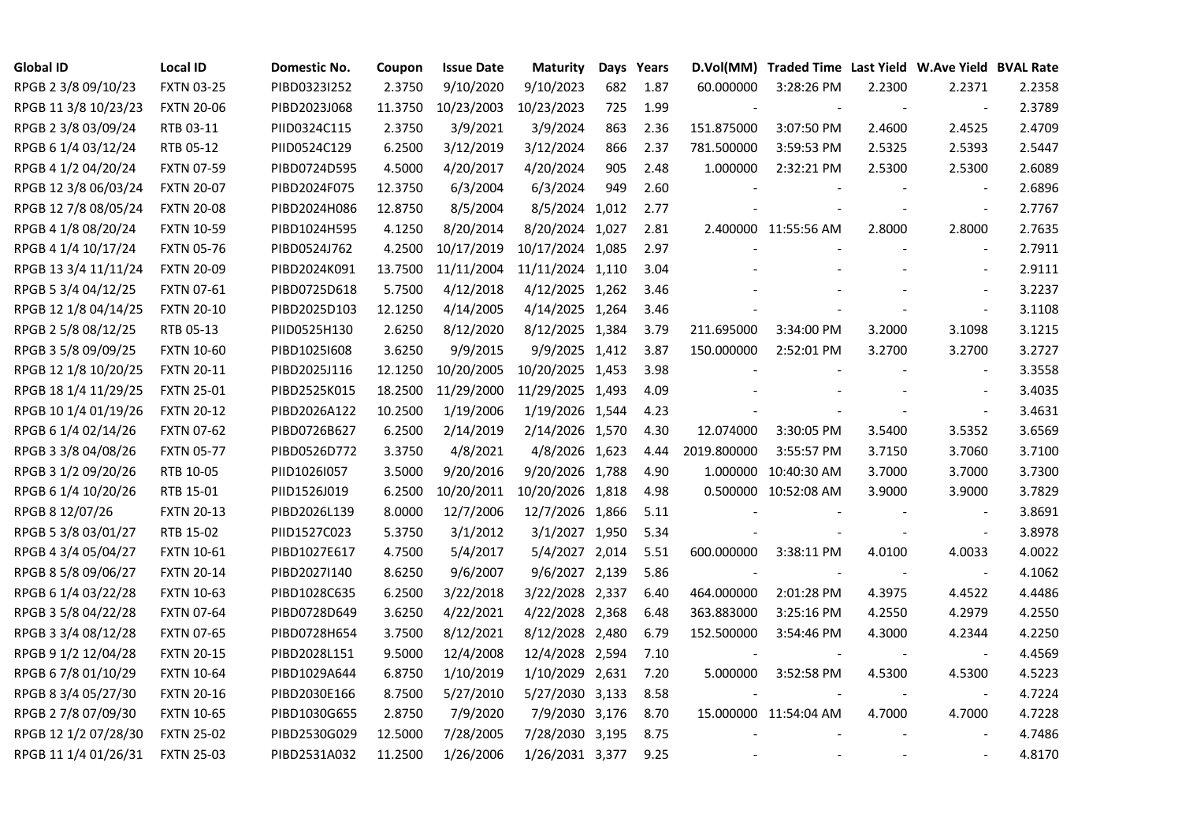| <b>Global ID</b>     | <b>Local ID</b>   | Domestic No. | Coupon  | <b>Issue Date</b> | <b>Maturity</b>  |     | Days Years | D.Vol(MM)   | Traded Time Last Yield W.Ave Yield BVAL Rate |                |                          |        |
|----------------------|-------------------|--------------|---------|-------------------|------------------|-----|------------|-------------|----------------------------------------------|----------------|--------------------------|--------|
| RPGB 2 3/8 09/10/23  | <b>FXTN 03-25</b> | PIBD0323I252 | 2.3750  | 9/10/2020         | 9/10/2023        | 682 | 1.87       | 60.000000   | 3:28:26 PM                                   | 2.2300         | 2.2371                   | 2.2358 |
| RPGB 11 3/8 10/23/23 | <b>FXTN 20-06</b> | PIBD2023J068 | 11.3750 | 10/23/2003        | 10/23/2023       | 725 | 1.99       |             |                                              |                |                          | 2.3789 |
| RPGB 2 3/8 03/09/24  | RTB 03-11         | PIID0324C115 | 2.3750  | 3/9/2021          | 3/9/2024         | 863 | 2.36       | 151.875000  | 3:07:50 PM                                   | 2.4600         | 2.4525                   | 2.4709 |
| RPGB 6 1/4 03/12/24  | RTB 05-12         | PIID0524C129 | 6.2500  | 3/12/2019         | 3/12/2024        | 866 | 2.37       | 781.500000  | 3:59:53 PM                                   | 2.5325         | 2.5393                   | 2.5447 |
| RPGB 4 1/2 04/20/24  | <b>FXTN 07-59</b> | PIBD0724D595 | 4.5000  | 4/20/2017         | 4/20/2024        | 905 | 2.48       | 1.000000    | 2:32:21 PM                                   | 2.5300         | 2.5300                   | 2.6089 |
| RPGB 12 3/8 06/03/24 | <b>FXTN 20-07</b> | PIBD2024F075 | 12.3750 | 6/3/2004          | 6/3/2024         | 949 | 2.60       |             |                                              |                | $\overline{\phantom{a}}$ | 2.6896 |
| RPGB 12 7/8 08/05/24 | <b>FXTN 20-08</b> | PIBD2024H086 | 12.8750 | 8/5/2004          | 8/5/2024 1,012   |     | 2.77       |             |                                              |                | $\overline{\phantom{a}}$ | 2.7767 |
| RPGB 4 1/8 08/20/24  | <b>FXTN 10-59</b> | PIBD1024H595 | 4.1250  | 8/20/2014         | 8/20/2024 1,027  |     | 2.81       |             | 2.400000 11:55:56 AM                         | 2.8000         | 2.8000                   | 2.7635 |
| RPGB 4 1/4 10/17/24  | <b>FXTN 05-76</b> | PIBD0524J762 | 4.2500  | 10/17/2019        | 10/17/2024 1,085 |     | 2.97       |             |                                              |                |                          | 2.7911 |
| RPGB 13 3/4 11/11/24 | <b>FXTN 20-09</b> | PIBD2024K091 | 13.7500 | 11/11/2004        | 11/11/2024 1,110 |     | 3.04       |             |                                              |                | $\overline{\phantom{a}}$ | 2.9111 |
| RPGB 5 3/4 04/12/25  | FXTN 07-61        | PIBD0725D618 | 5.7500  | 4/12/2018         | 4/12/2025 1,262  |     | 3.46       |             |                                              |                | $\blacksquare$           | 3.2237 |
| RPGB 12 1/8 04/14/25 | <b>FXTN 20-10</b> | PIBD2025D103 | 12.1250 | 4/14/2005         | 4/14/2025 1,264  |     | 3.46       |             |                                              |                | $\blacksquare$           | 3.1108 |
| RPGB 2 5/8 08/12/25  | RTB 05-13         | PIID0525H130 | 2.6250  | 8/12/2020         | 8/12/2025 1,384  |     | 3.79       | 211.695000  | 3:34:00 PM                                   | 3.2000         | 3.1098                   | 3.1215 |
| RPGB 3 5/8 09/09/25  | <b>FXTN 10-60</b> | PIBD10251608 | 3.6250  | 9/9/2015          | 9/9/2025 1,412   |     | 3.87       | 150.000000  | 2:52:01 PM                                   | 3.2700         | 3.2700                   | 3.2727 |
| RPGB 12 1/8 10/20/25 | <b>FXTN 20-11</b> | PIBD2025J116 | 12.1250 | 10/20/2005        | 10/20/2025 1,453 |     | 3.98       |             |                                              |                | $\sim$                   | 3.3558 |
| RPGB 18 1/4 11/29/25 | <b>FXTN 25-01</b> | PIBD2525K015 | 18.2500 | 11/29/2000        | 11/29/2025 1,493 |     | 4.09       |             |                                              |                | $\overline{a}$           | 3.4035 |
| RPGB 10 1/4 01/19/26 | <b>FXTN 20-12</b> | PIBD2026A122 | 10.2500 | 1/19/2006         | 1/19/2026 1,544  |     | 4.23       |             |                                              |                | $\overline{\phantom{a}}$ | 3.4631 |
| RPGB 6 1/4 02/14/26  | <b>FXTN 07-62</b> | PIBD0726B627 | 6.2500  | 2/14/2019         | 2/14/2026 1,570  |     | 4.30       | 12.074000   | 3:30:05 PM                                   | 3.5400         | 3.5352                   | 3.6569 |
| RPGB 3 3/8 04/08/26  | <b>FXTN 05-77</b> | PIBD0526D772 | 3.3750  | 4/8/2021          | 4/8/2026 1,623   |     | 4.44       | 2019.800000 | 3:55:57 PM                                   | 3.7150         | 3.7060                   | 3.7100 |
| RPGB 3 1/2 09/20/26  | RTB 10-05         | PIID1026I057 | 3.5000  | 9/20/2016         | 9/20/2026 1,788  |     | 4.90       |             | 1.000000 10:40:30 AM                         | 3.7000         | 3.7000                   | 3.7300 |
| RPGB 6 1/4 10/20/26  | RTB 15-01         | PIID1526J019 | 6.2500  | 10/20/2011        | 10/20/2026 1,818 |     | 4.98       |             | 0.500000 10:52:08 AM                         | 3.9000         | 3.9000                   | 3.7829 |
| RPGB 8 12/07/26      | <b>FXTN 20-13</b> | PIBD2026L139 | 8.0000  | 12/7/2006         | 12/7/2026 1,866  |     | 5.11       |             |                                              |                | $\sim$                   | 3.8691 |
| RPGB 5 3/8 03/01/27  | RTB 15-02         | PIID1527C023 | 5.3750  | 3/1/2012          | 3/1/2027 1,950   |     | 5.34       |             |                                              |                | $\overline{\phantom{a}}$ | 3.8978 |
| RPGB 4 3/4 05/04/27  | <b>FXTN 10-61</b> | PIBD1027E617 | 4.7500  | 5/4/2017          | 5/4/2027 2,014   |     | 5.51       | 600.000000  | 3:38:11 PM                                   | 4.0100         | 4.0033                   | 4.0022 |
| RPGB 8 5/8 09/06/27  | <b>FXTN 20-14</b> | PIBD2027I140 | 8.6250  | 9/6/2007          | 9/6/2027 2,139   |     | 5.86       |             |                                              |                | $\blacksquare$           | 4.1062 |
| RPGB 6 1/4 03/22/28  | <b>FXTN 10-63</b> | PIBD1028C635 | 6.2500  | 3/22/2018         | 3/22/2028 2,337  |     | 6.40       | 464.000000  | 2:01:28 PM                                   | 4.3975         | 4.4522                   | 4.4486 |
| RPGB 3 5/8 04/22/28  | <b>FXTN 07-64</b> | PIBD0728D649 | 3.6250  | 4/22/2021         | 4/22/2028 2,368  |     | 6.48       | 363.883000  | 3:25:16 PM                                   | 4.2550         | 4.2979                   | 4.2550 |
| RPGB 3 3/4 08/12/28  | <b>FXTN 07-65</b> | PIBD0728H654 | 3.7500  | 8/12/2021         | 8/12/2028 2,480  |     | 6.79       | 152.500000  | 3:54:46 PM                                   | 4.3000         | 4.2344                   | 4.2250 |
| RPGB 9 1/2 12/04/28  | <b>FXTN 20-15</b> | PIBD2028L151 | 9.5000  | 12/4/2008         | 12/4/2028 2,594  |     | 7.10       |             |                                              |                |                          | 4.4569 |
| RPGB 67/8 01/10/29   | <b>FXTN 10-64</b> | PIBD1029A644 | 6.8750  | 1/10/2019         | 1/10/2029 2,631  |     | 7.20       | 5.000000    | 3:52:58 PM                                   | 4.5300         | 4.5300                   | 4.5223 |
| RPGB 8 3/4 05/27/30  | <b>FXTN 20-16</b> | PIBD2030E166 | 8.7500  | 5/27/2010         | 5/27/2030 3,133  |     | 8.58       |             |                                              |                | $\sim$                   | 4.7224 |
| RPGB 2 7/8 07/09/30  | <b>FXTN 10-65</b> | PIBD1030G655 | 2.8750  | 7/9/2020          | 7/9/2030 3,176   |     | 8.70       |             | 15.000000 11:54:04 AM                        | 4.7000         | 4.7000                   | 4.7228 |
| RPGB 12 1/2 07/28/30 | <b>FXTN 25-02</b> | PIBD2530G029 | 12.5000 | 7/28/2005         | 7/28/2030 3,195  |     | 8.75       |             |                                              |                | $\sim$                   | 4.7486 |
| RPGB 11 1/4 01/26/31 | <b>FXTN 25-03</b> | PIBD2531A032 | 11.2500 | 1/26/2006         | 1/26/2031 3,377  |     | 9.25       |             |                                              | $\blacksquare$ | $\sim$                   | 4.8170 |